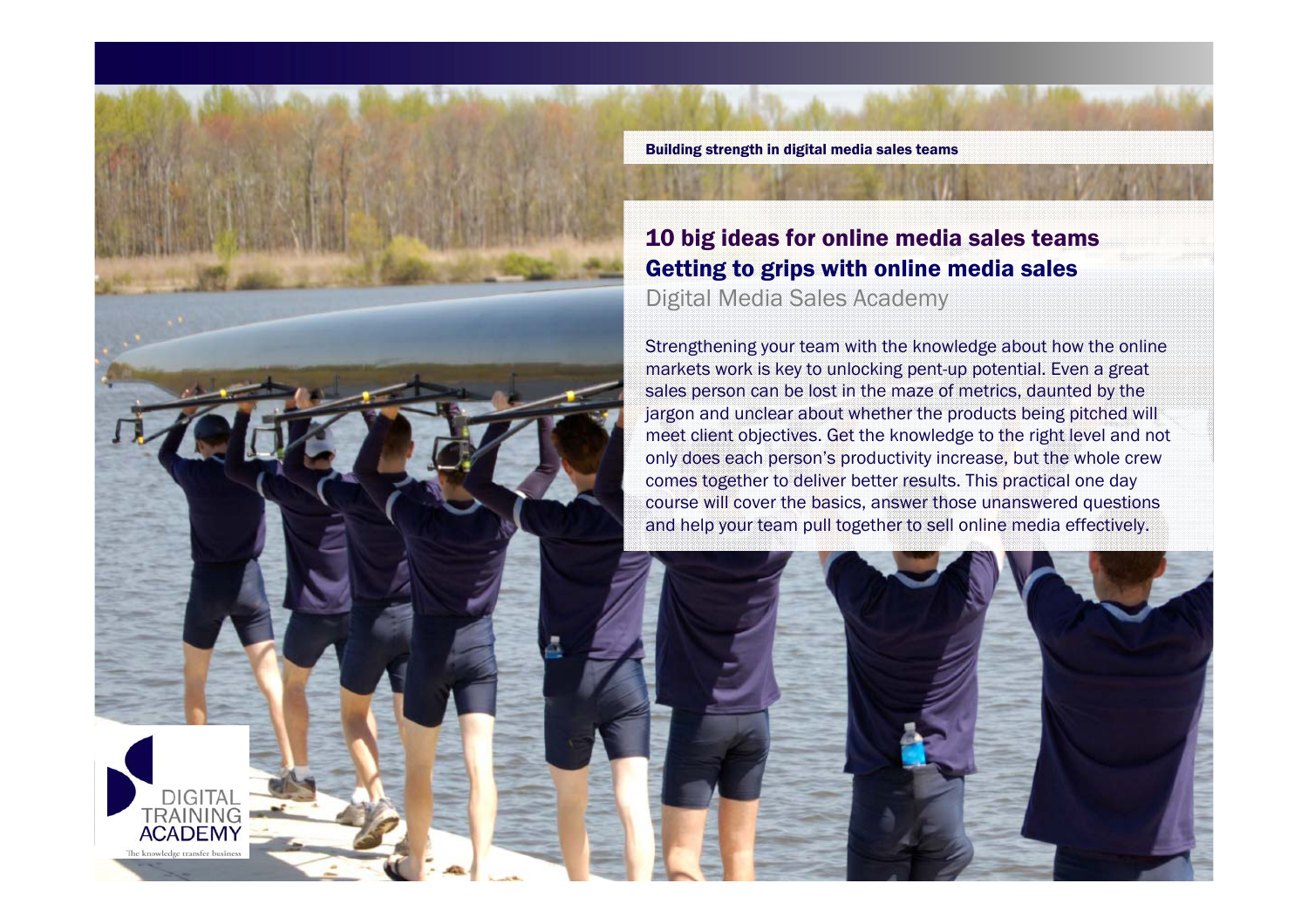

Building strength in digital media sales teams

## 10 big ideas for online media sales teams Getting to grips with online media sales Digital Media Sales Academy

Strengthening your team with the knowledge about how the online markets work is key to unlocking pent-up potential. Even a great sales person can be lost in the maze of metrics, daunted by the jargon and unclear about whether the products being pitched will meet client objectives. Get the knowledge to the right level and not only does each person's productivity increase, but the whole crew comes together to deliver better results. This practical one day course will cover the basics, answer those unanswered questions and help your team pull together to sell online media effectively.

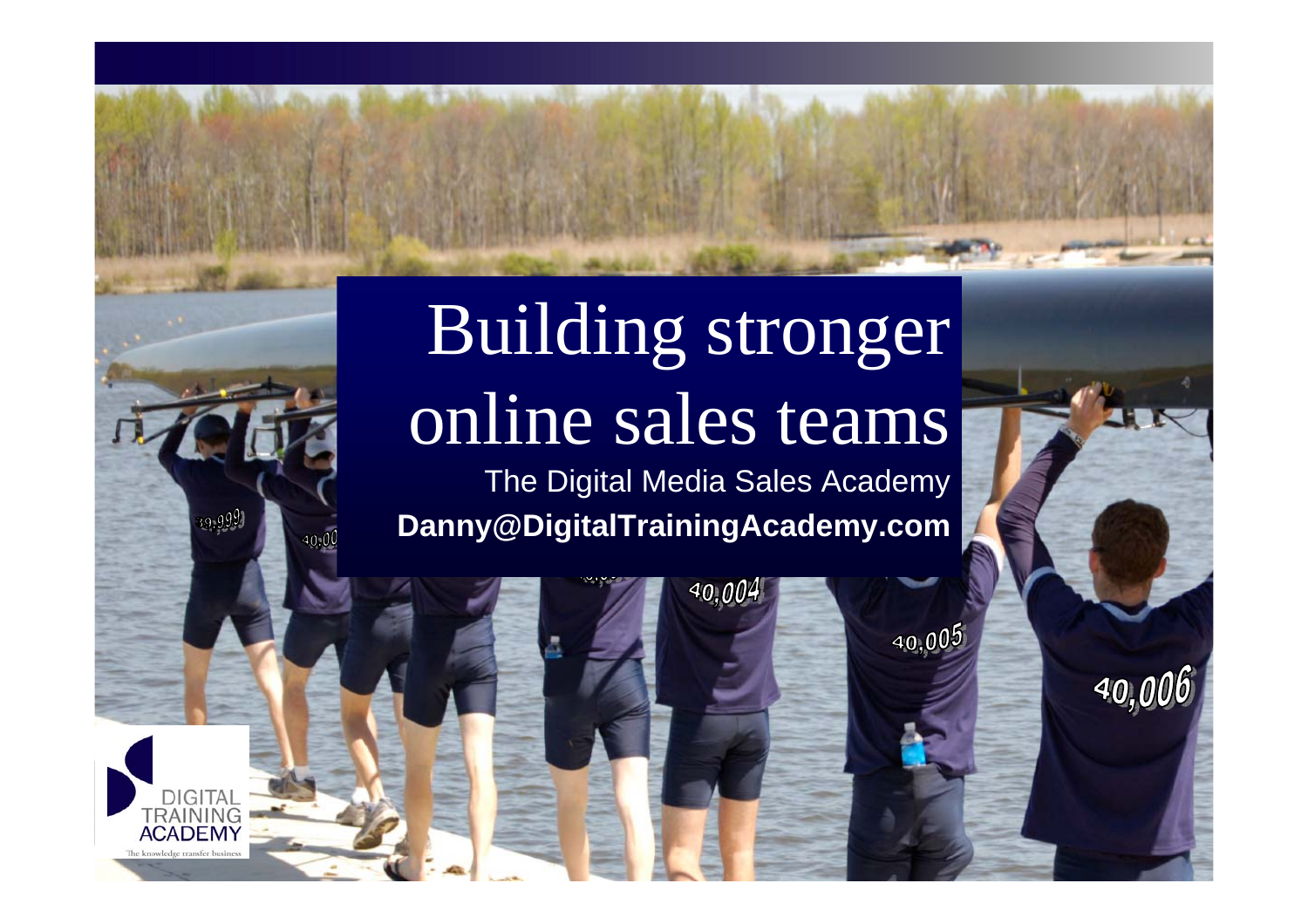# Building stronger online sales teams

The Digital Media Sales Academy **Danny@DigitalTrainingAcademy.com**

40,004

 $40,005$ 

39,999

DIGITA **TRAINING ACADEM** 

**© 2006 Digital Strategy Consulting & Partners. All rights reserved.**

40,006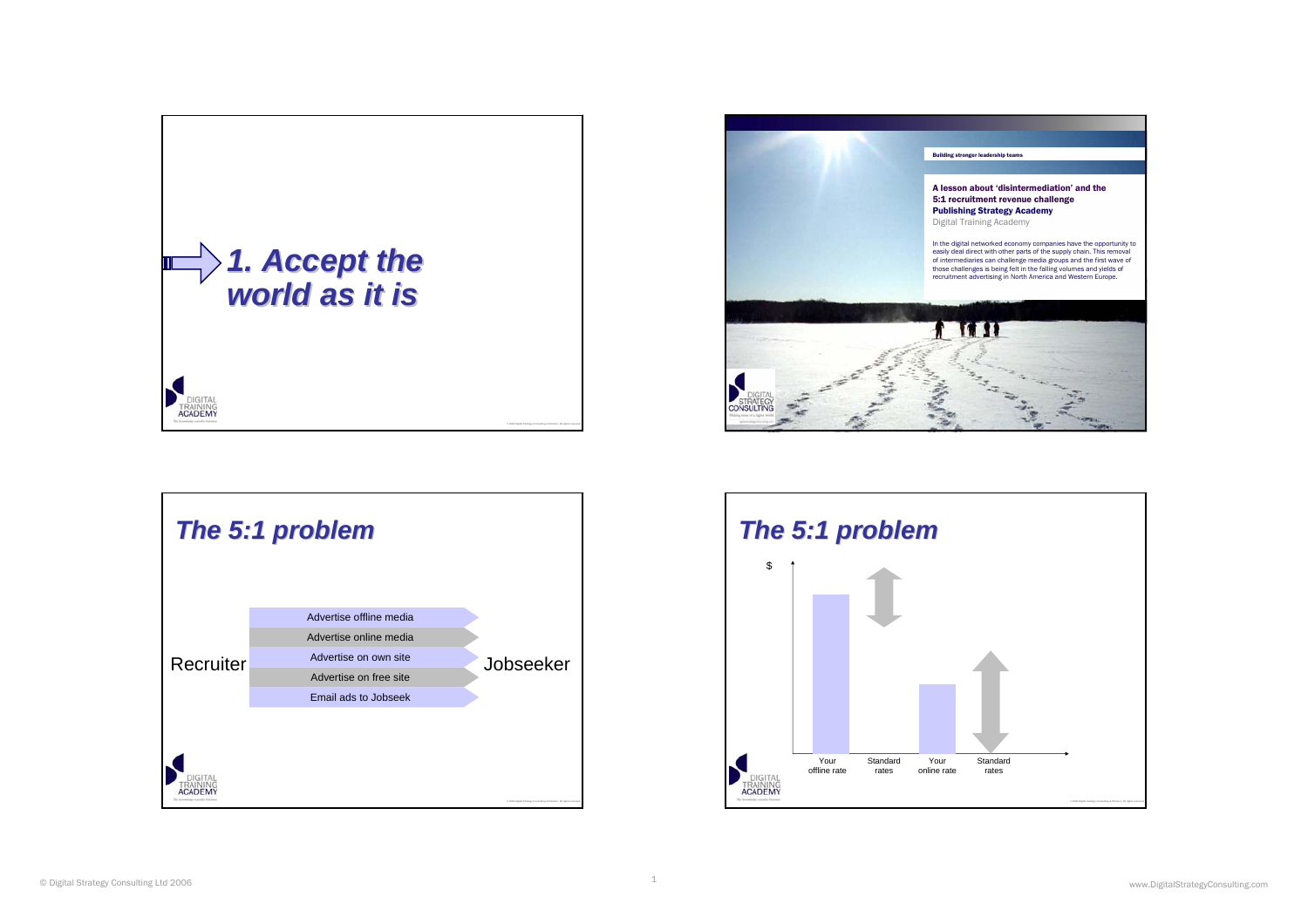





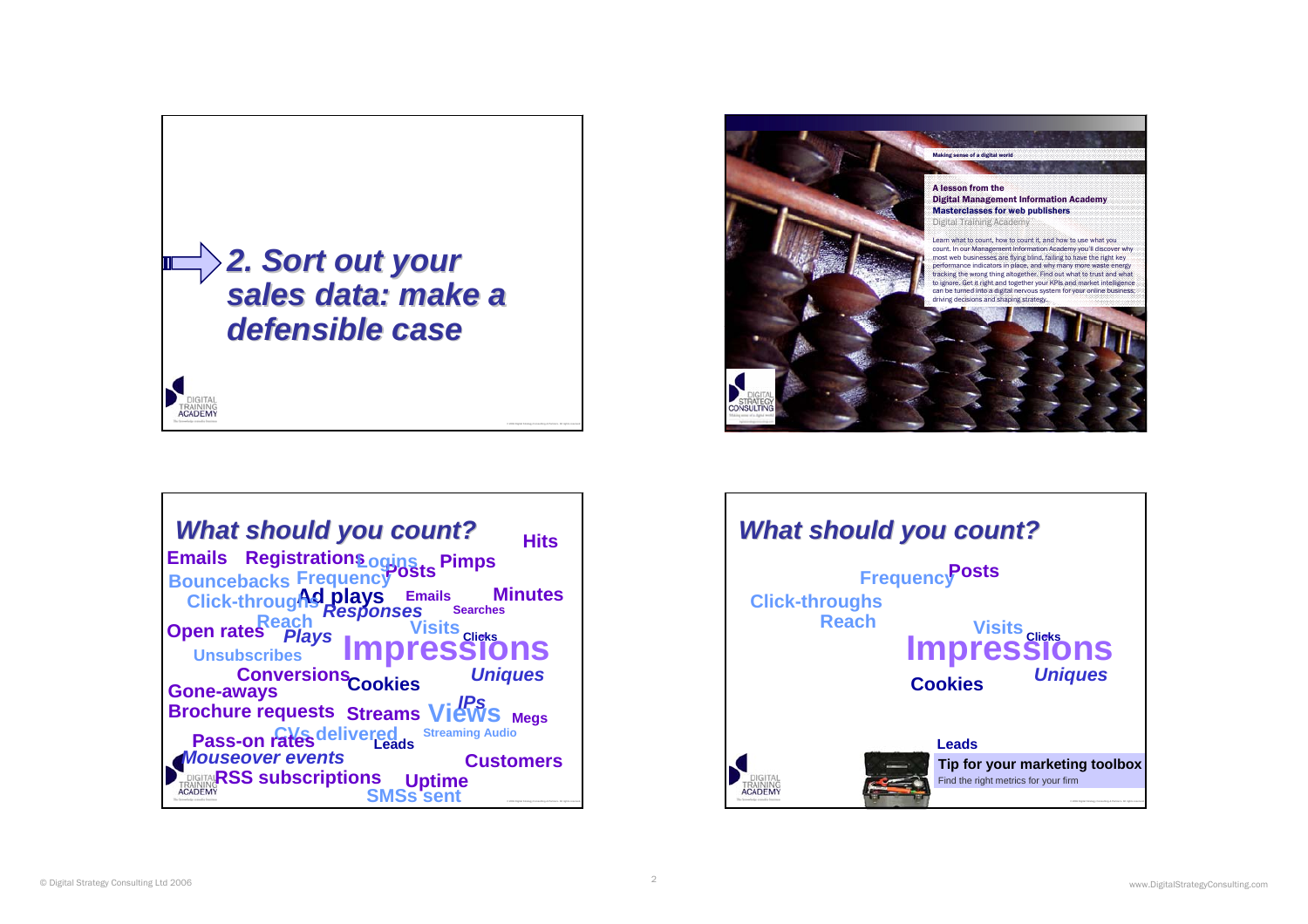





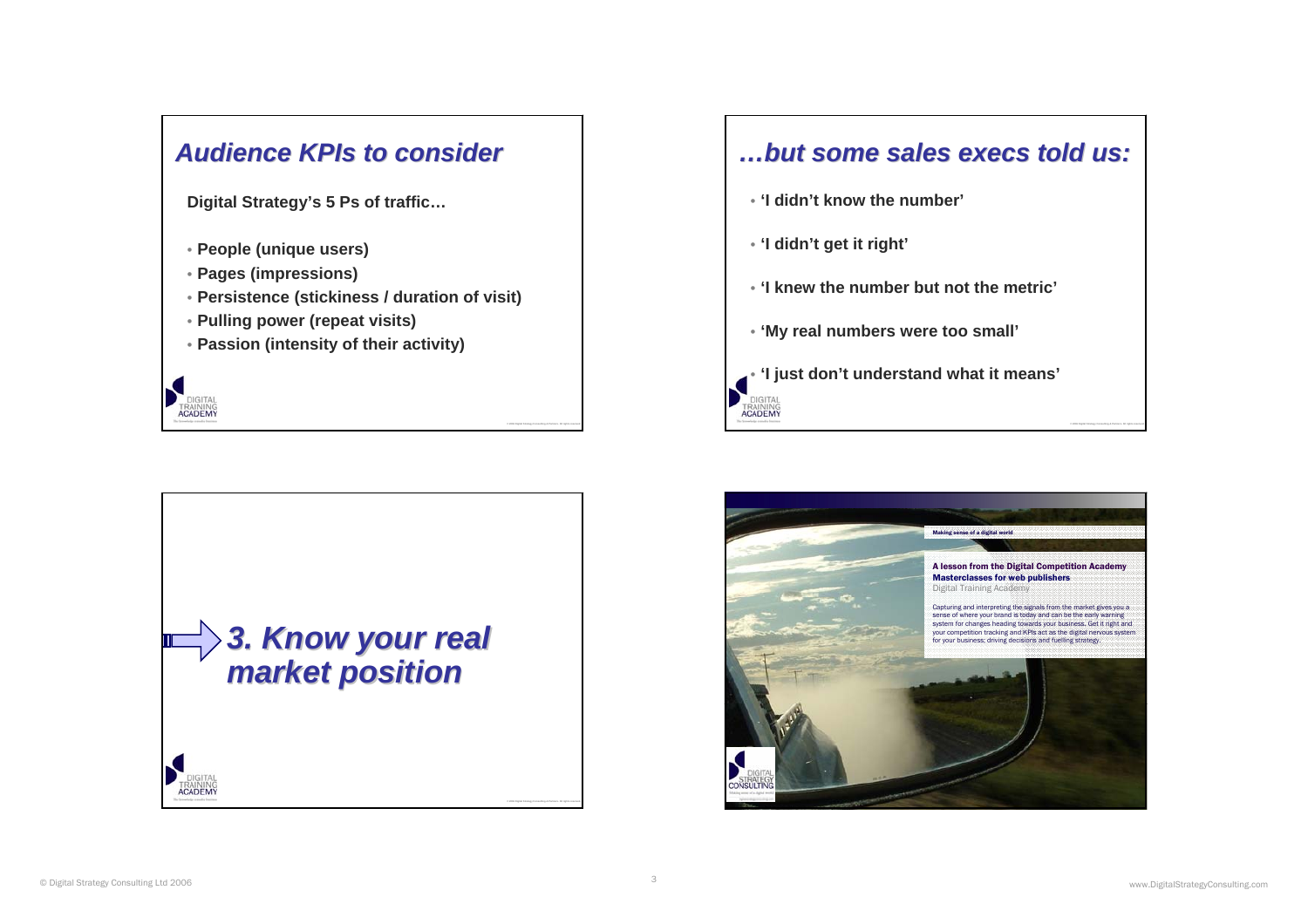

**Digital Strategy's 5 Ps of traffic…**

- **People (unique users)**
- **Pages (impressions)**

**ACADEMY** 

- **Persistence (stickiness / duration of visit)**
- **Pulling power (repeat visits)**
- **Passion (intensity of their activity)**



## *…but some sales execs told us: but some sales execs told us:*

- **'I didn't know the number'**
- **'I didn't get it right'**

**TRAINING**<br>**ACADEMY** 

- **'I knew the number but not the metric'**
- **'My real numbers were too small'**
- **'I just don't understand what it means'**

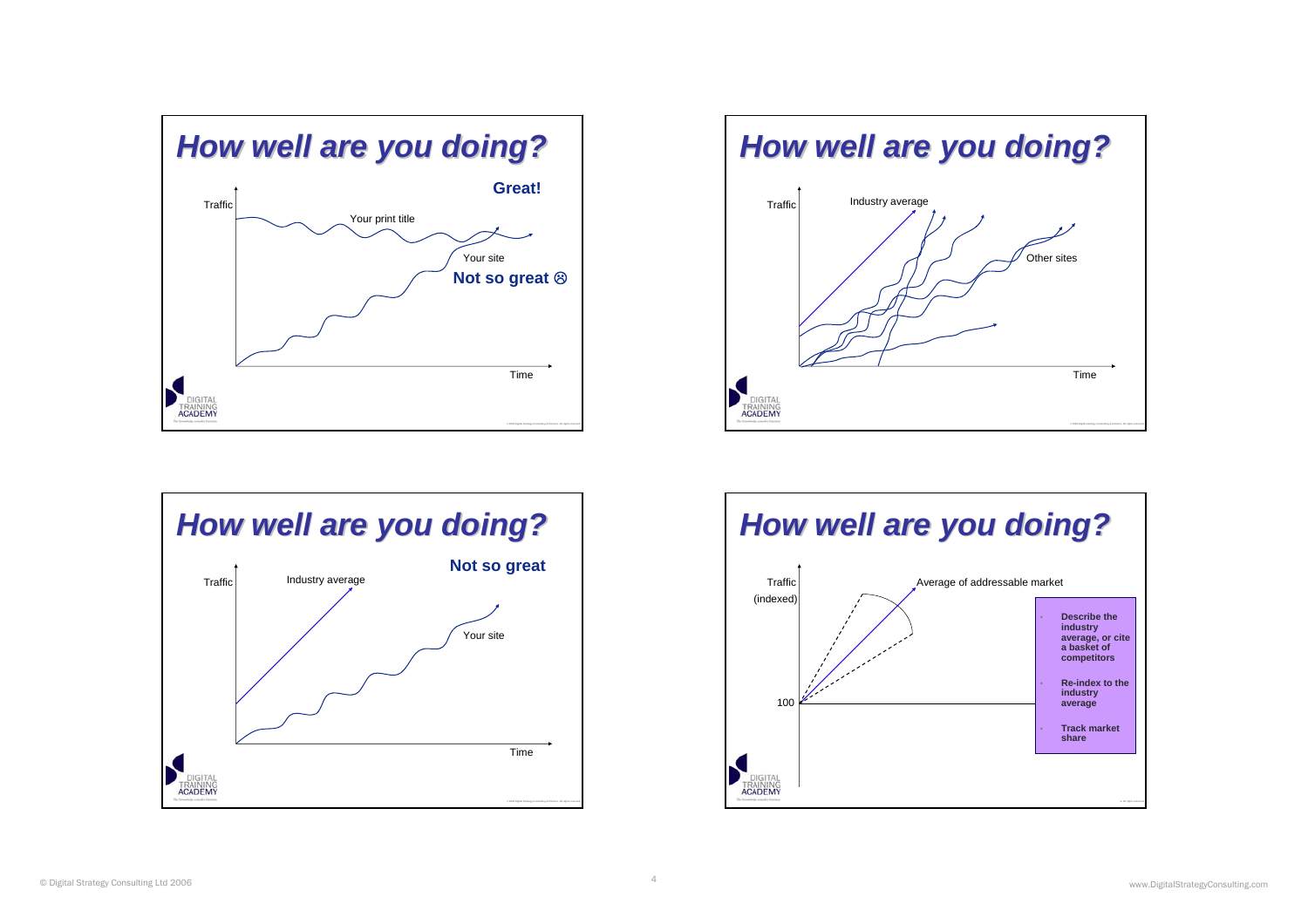





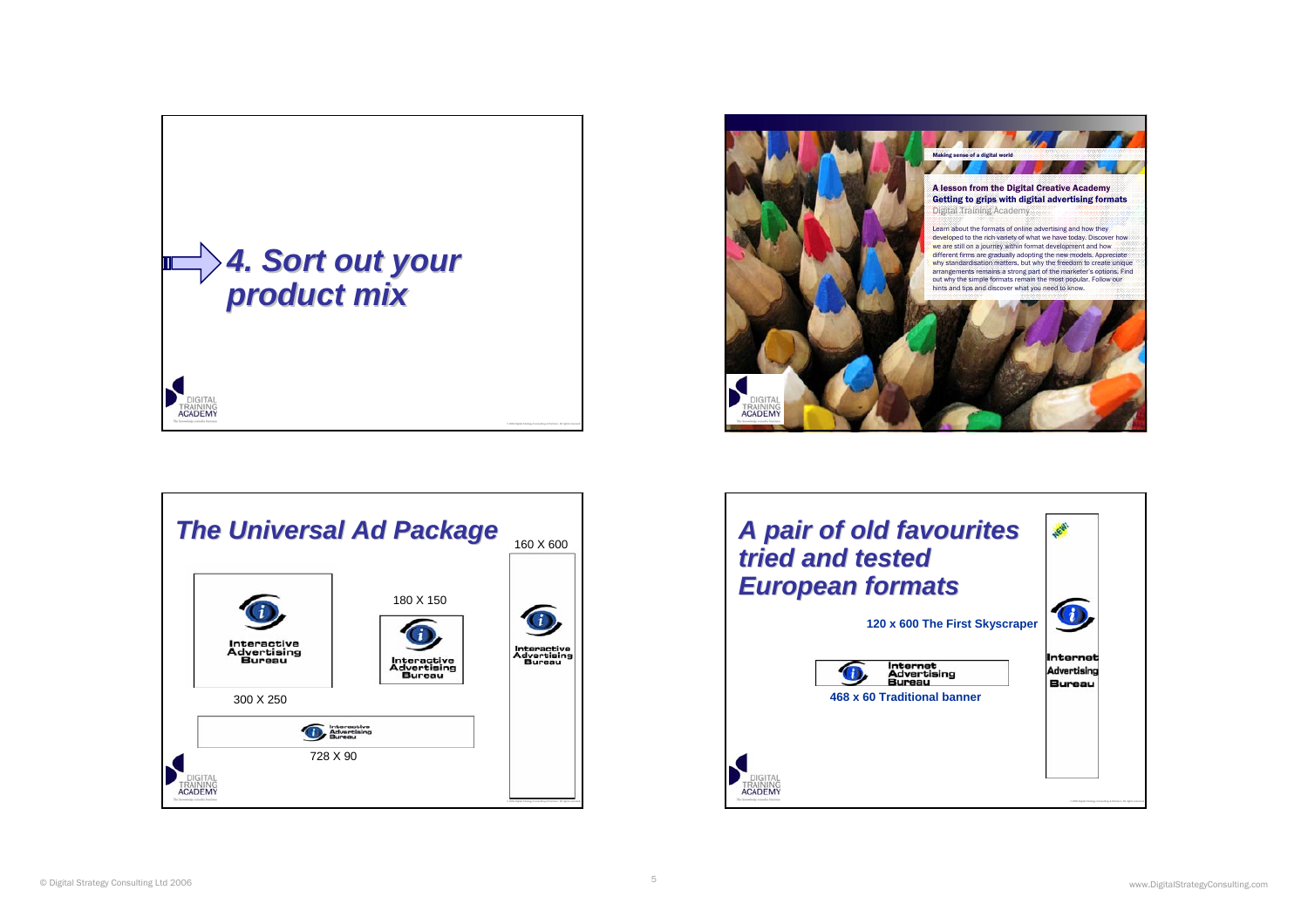





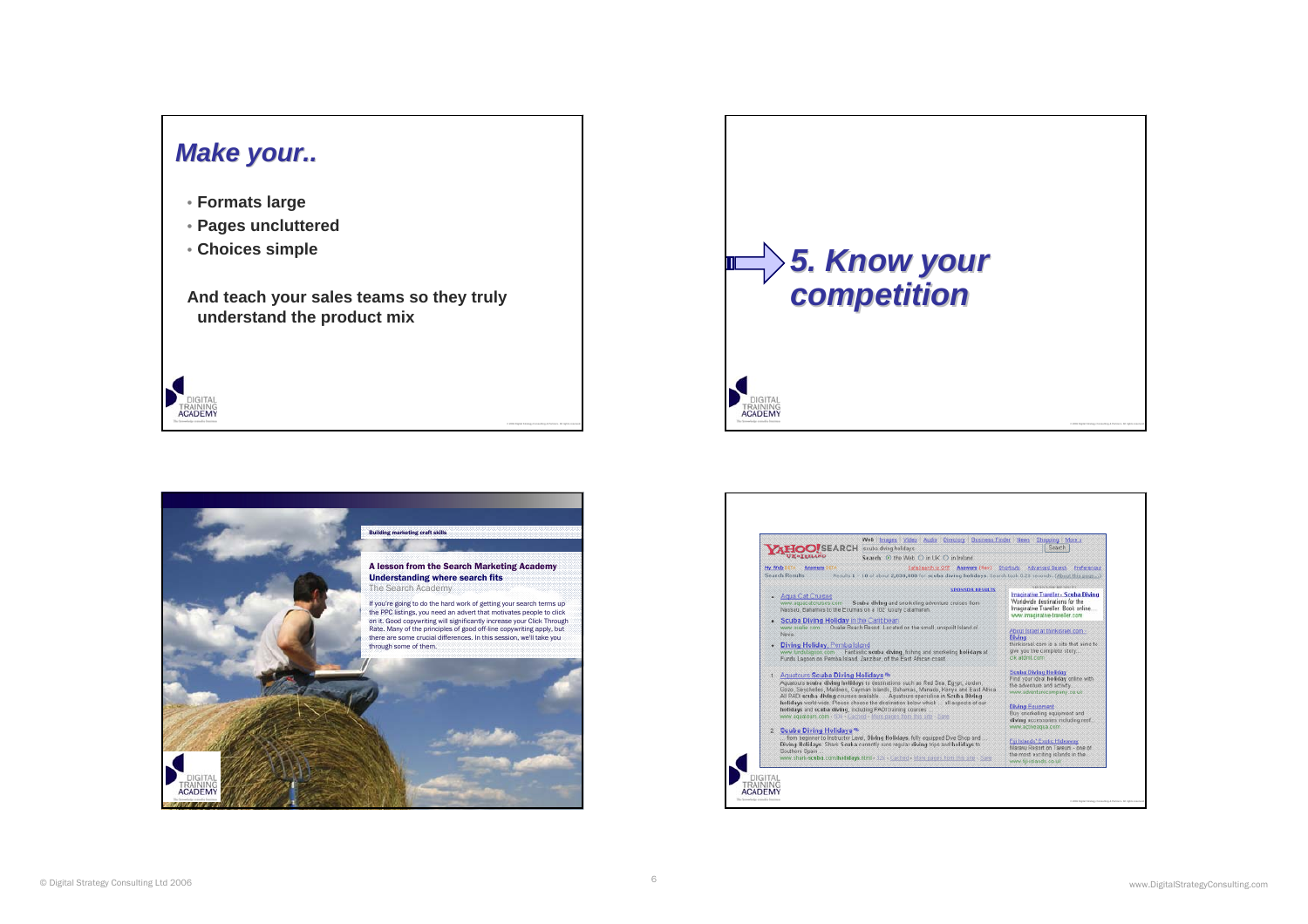### *Make your.. Make your..*

- **Formats large**
- **Pages uncluttered**
- **Choices simple**

DIGITA

**TRAINING**<br>**ACADEMY** 

**And teach your sales teams so they truly understand the product mix**





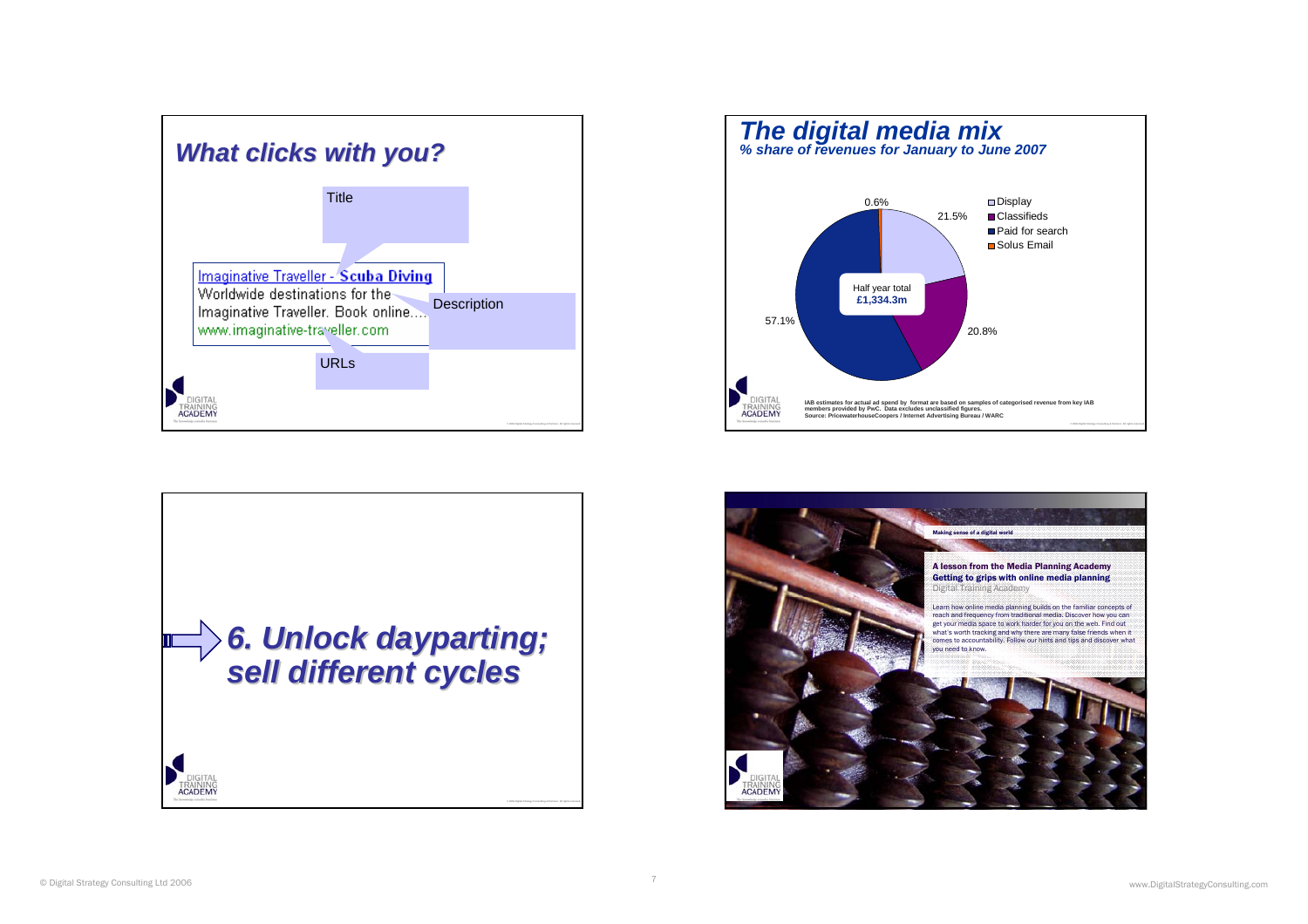





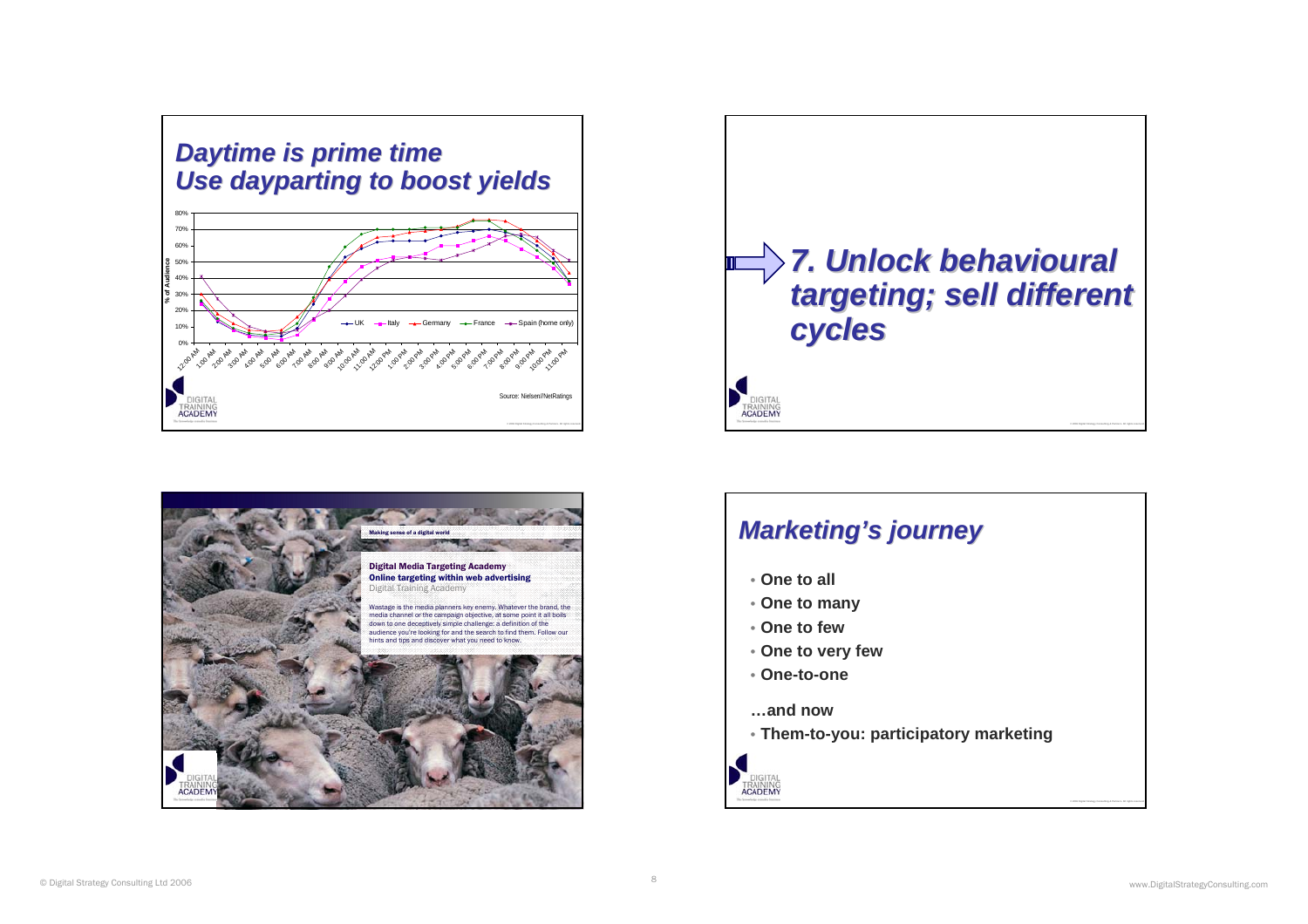





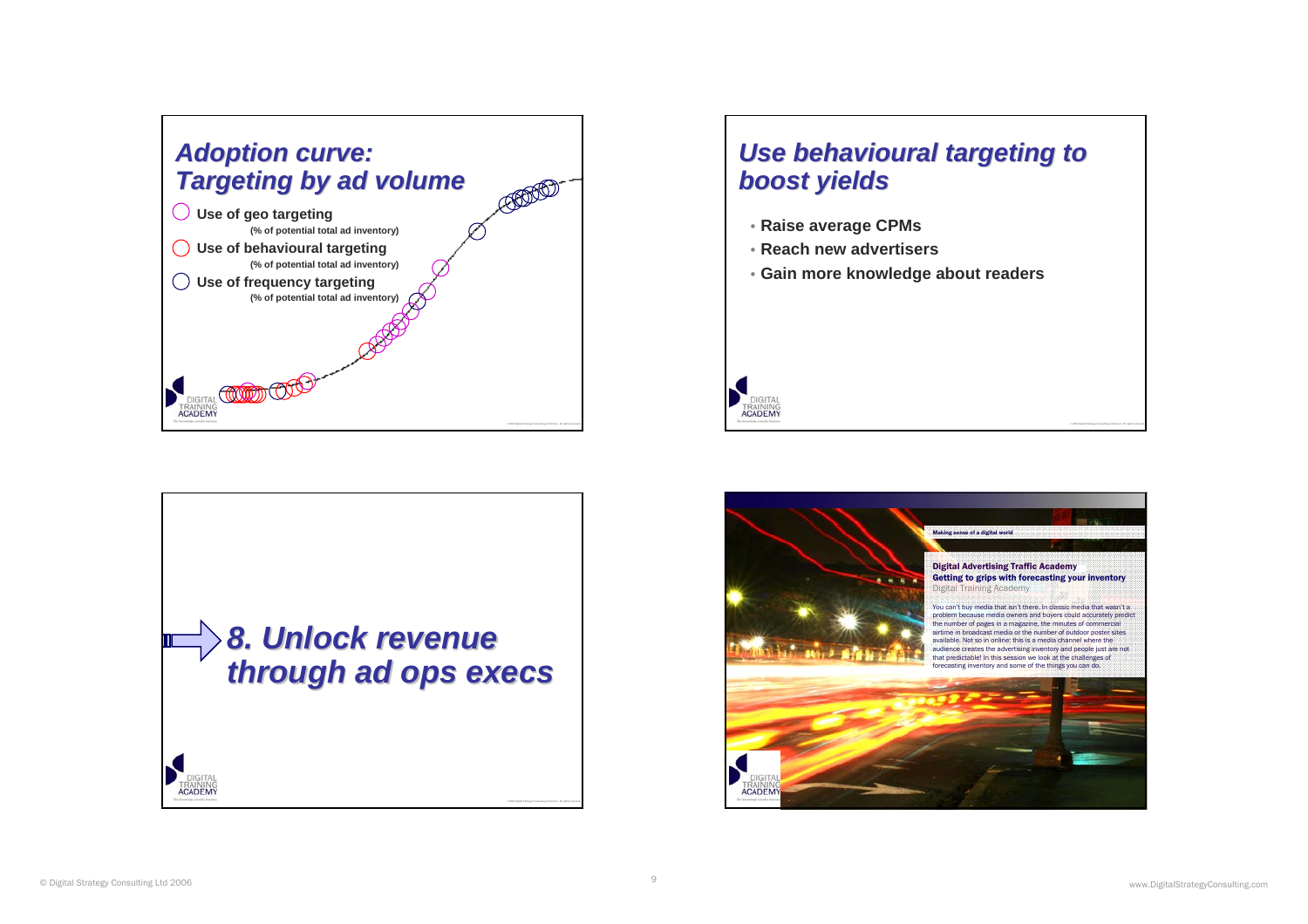





- **Raise average CPMs**
- **Reach new advertisers**
- **Gain more knowledge about readers**



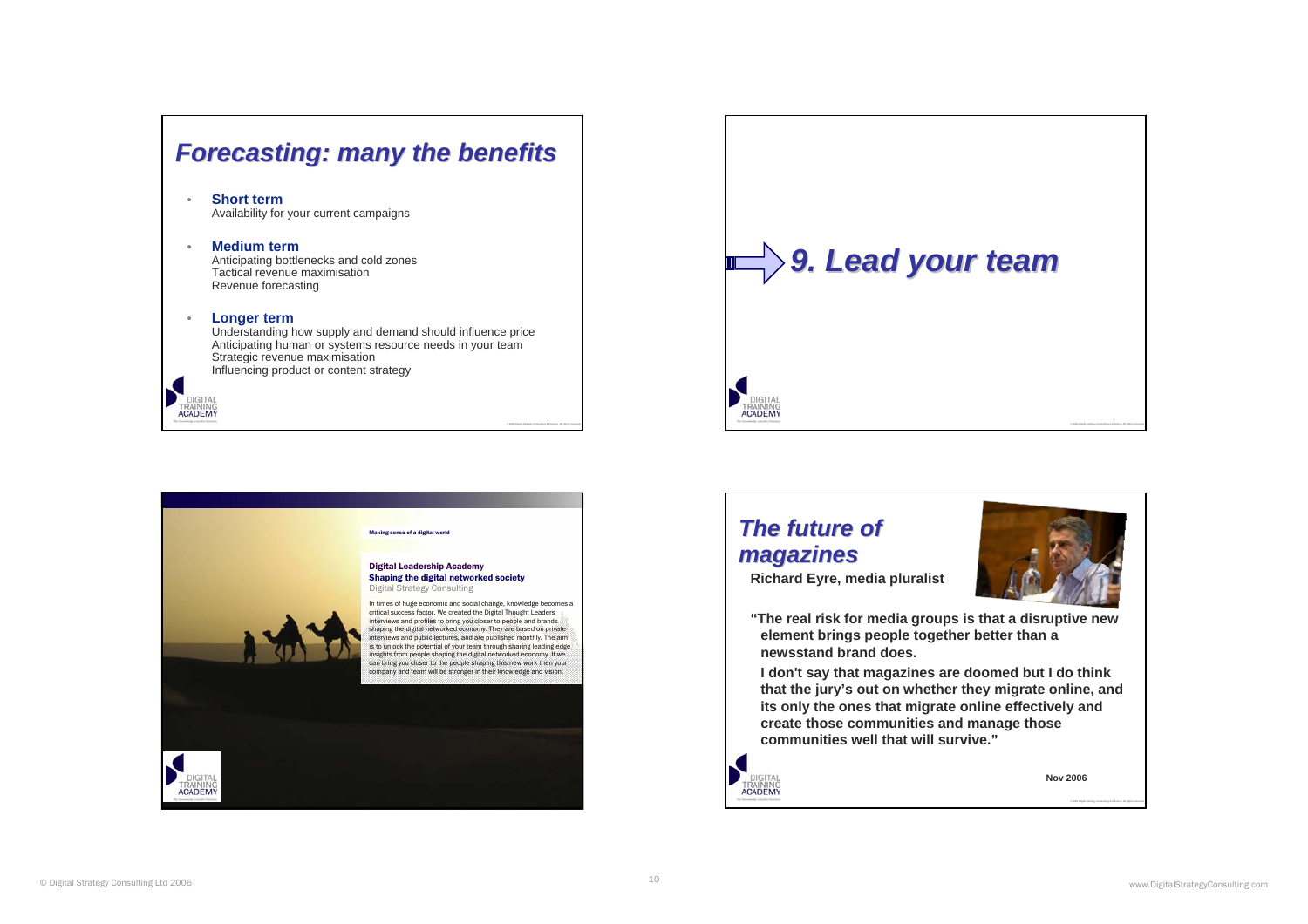### *Forecasting: many the benefits Forecasting: many the benefits*

#### • **Short term**Availability for your current campaigns

#### •**Medium term**

 Anticipating bottlenecks and cold zones Tactical revenue maximisationRevenue forecasting

#### •**Longer term**

**TRAINING**<br>**ACADEMY** 

Understanding how supply and demand should influence price Anticipating human or systems resource needs in your team Strategic revenue maximisation Influencing product or content strategy





# *The future of The future of magazines magazines*

**Richard Eyre, media pluralist**



**"The real risk for media groups is that a disruptive new element brings people together better than a newsstand brand does.**

**I don't say that magazines are doomed but I do think that the jury's out on whether they migrate online, and its only the ones that migrate online effectively and create those communities and manage those communities well that will survive."**



**Nov 2006**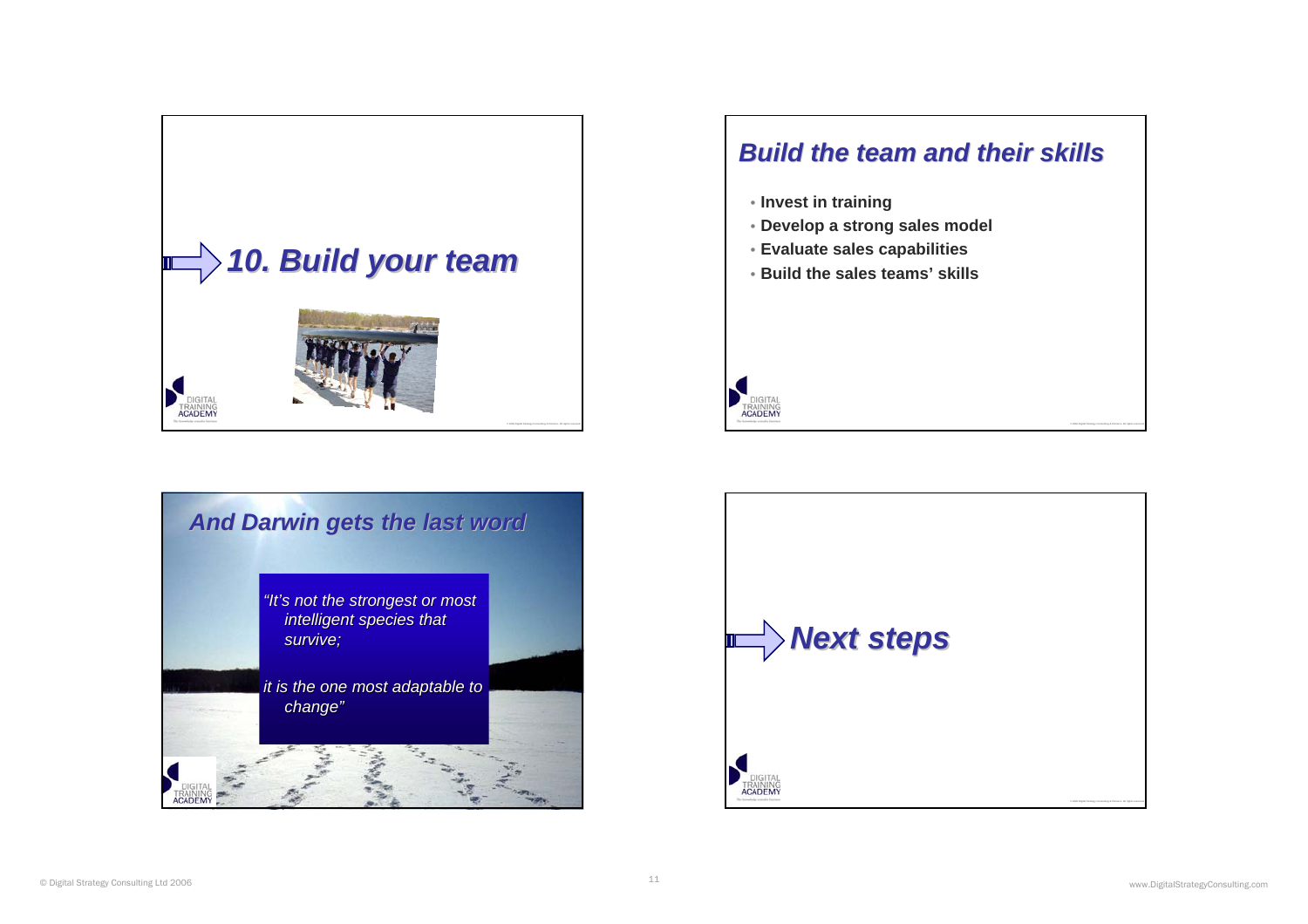





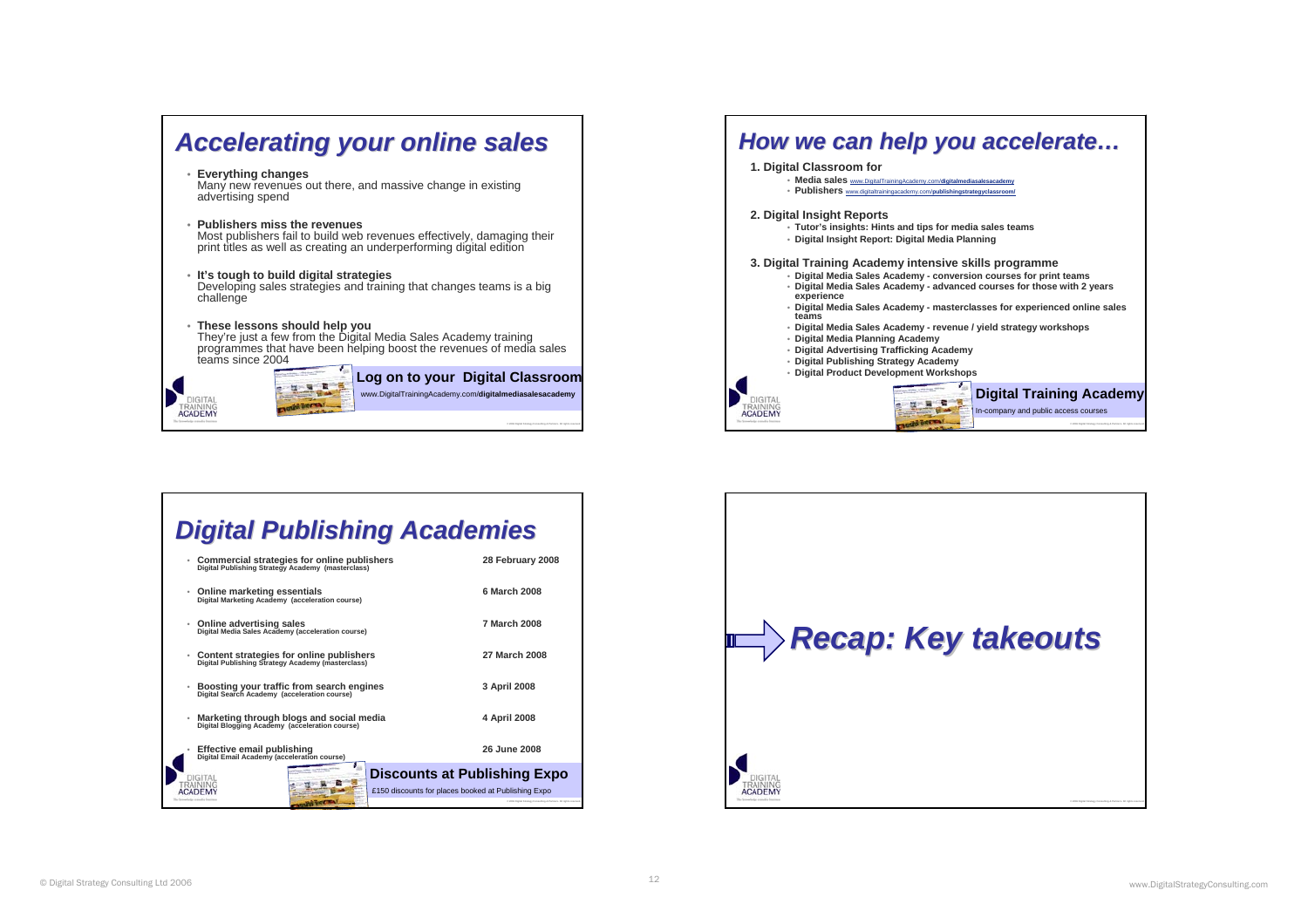



## *Digital Publishing Academies Digital Publishing Academies*

| ۰ | Commercial strategies for online publishers<br>Digital Publishing Strategy Academy (masterclass) | 28 February 2008    |
|---|--------------------------------------------------------------------------------------------------|---------------------|
| ۰ | Online marketing essentials<br>Digital Marketing Academy (acceleration course)                   | 6 March 2008        |
| ۰ | Online advertising sales<br>Digital Media Sales Academy (acceleration course)                    | <b>7 March 2008</b> |
| ۰ | Content strategies for online publishers<br>Digital Publishing Strategy Academy (masterclass)    | 27 March 2008       |
| ۰ | Boosting your traffic from search engines<br>Digital Search Academy (acceleration course)        | 3 April 2008        |
| ۰ | Marketing through blogs and social media<br>Digital Blogging Academy (acceleration course)       | 4 April 2008        |
|   | Effective email publishing<br>Digital Email Academy (acceleration course)                        | 26 June 2008        |
|   | <b>Discounts at Publishing Expo</b><br>DIGITAL                                                   |                     |
|   | £150 discounts for places booked at Publishing Expo                                              |                     |
|   |                                                                                                  |                     |

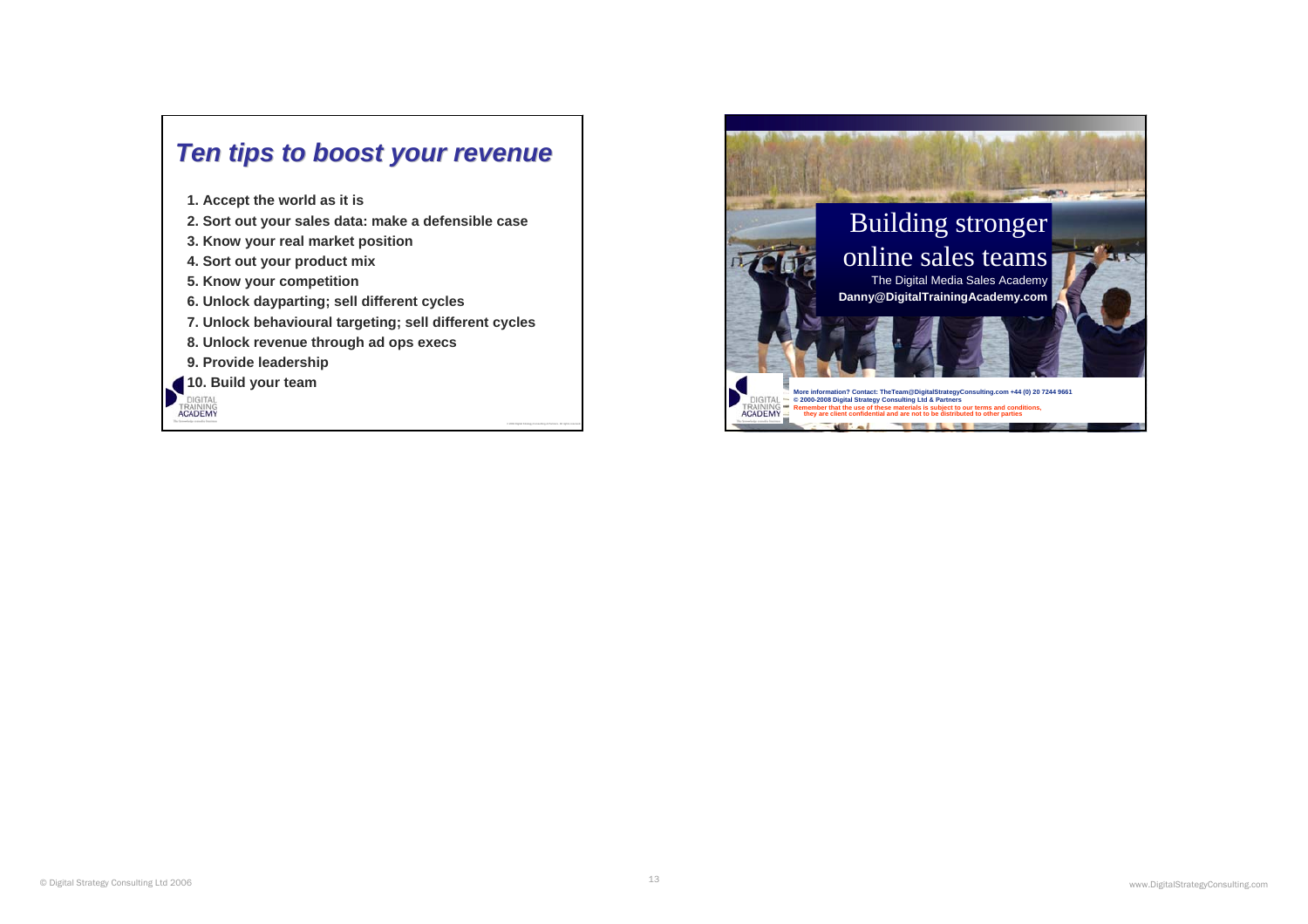

**1. Accept the world as it is**

- **2. Sort out your sales data: make a defensible case**
- **3. Know your real market position**
- **4. Sort out your product mix**
- **5. Know your competition**
- **6. Unlock dayparting; sell different cycles**
- **7. Unlock behavioural targeting; sell different cycles**
- **8. Unlock revenue through ad ops execs**
- **9. Provide leadership**
- **10. Build your team**
- **TRAINING**<br>**ACADEMY**